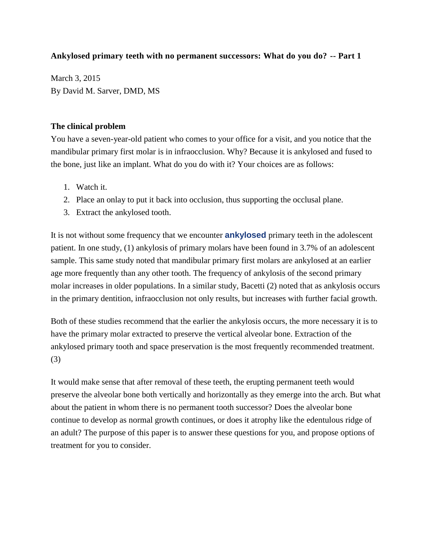# **Ankylosed primary teeth with no permanent successors: What do you do? -- Part 1**

March 3, 2015 By David M. Sarver, DMD, MS

### **The clinical problem**

You have a seven-year-old patient who comes to your office for a visit, and you notice that the mandibular primary first molar is in infraocclusion. Why? Because it is ankylosed and fused to the bone, just like an implant. What do you do with it? Your choices are as follows:

- 1. Watch it.
- 2. Place an onlay to put it back into occlusion, thus supporting the occlusal plane.
- 3. Extract the ankylosed tooth.

It is not without some frequency that we encounter **[ankylosed](http://www.surgicalrestorative.com/articles/2014/02/dismay-with-kid-decay-treatment-options-for-broken-down-permanent-teeth-in-the-mixed-dentition.html)** primary teeth in the adolescent patient. In one study, (1) ankylosis of primary molars have been found in 3.7% of an adolescent sample. This same study noted that mandibular primary first molars are ankylosed at an earlier age more frequently than any other tooth. The frequency of ankylosis of the second primary molar increases in older populations. In a similar study, Bacetti (2) noted that as ankylosis occurs in the primary dentition, infraocclusion not only results, but increases with further facial growth.

Both of these studies recommend that the earlier the ankylosis occurs, the more necessary it is to have the primary molar extracted to preserve the vertical alveolar bone. Extraction of the ankylosed primary tooth and space preservation is the most frequently recommended treatment. (3)

It would make sense that after removal of these teeth, the erupting permanent teeth would preserve the alveolar bone both vertically and horizontally as they emerge into the arch. But what about the patient in whom there is no permanent tooth successor? Does the alveolar bone continue to develop as normal growth continues, or does it atrophy like the edentulous ridge of an adult? The purpose of this paper is to answer these questions for you, and propose options of treatment for you to consider.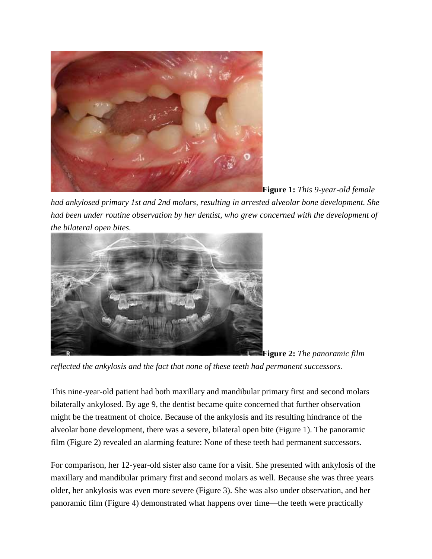

**Figure 1:** *This 9-year-old female* 

*had ankylosed primary 1st and 2nd molars, resulting in arrested alveolar bone development. She had been under routine observation by her dentist, who grew concerned with the development of the bilateral open bites.*



**Figure 2:** *The panoramic film* 

*reflected the ankylosis and the fact that none of these teeth had permanent successors.*

This nine-year-old patient had both maxillary and mandibular primary first and second molars bilaterally ankylosed. By age 9, the dentist became quite concerned that further observation might be the treatment of choice. Because of the ankylosis and its resulting hindrance of the alveolar bone development, there was a severe, bilateral open bite (Figure 1). The panoramic film (Figure 2) revealed an alarming feature: None of these teeth had permanent successors.

For comparison, her 12-year-old sister also came for a visit. She presented with ankylosis of the maxillary and mandibular primary first and second molars as well. Because she was three years older, her ankylosis was even more severe (Figure 3). She was also under observation, and her panoramic film (Figure 4) demonstrated what happens over time—the teeth were practically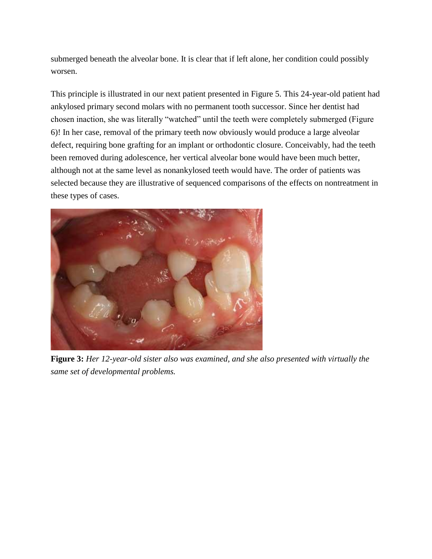submerged beneath the alveolar bone. It is clear that if left alone, her condition could possibly worsen.

This principle is illustrated in our next patient presented in Figure 5. This 24-year-old patient had ankylosed primary second molars with no permanent tooth successor. Since her dentist had chosen inaction, she was literally "watched" until the teeth were completely submerged (Figure 6)! In her case, removal of the primary teeth now obviously would produce a large alveolar defect, requiring bone grafting for an implant or orthodontic closure. Conceivably, had the teeth been removed during adolescence, her vertical alveolar bone would have been much better, although not at the same level as nonankylosed teeth would have. The order of patients was selected because they are illustrative of sequenced comparisons of the effects on nontreatment in these types of cases.



**Figure 3:** *Her 12-year-old sister also was examined, and she also presented with virtually the same set of developmental problems.*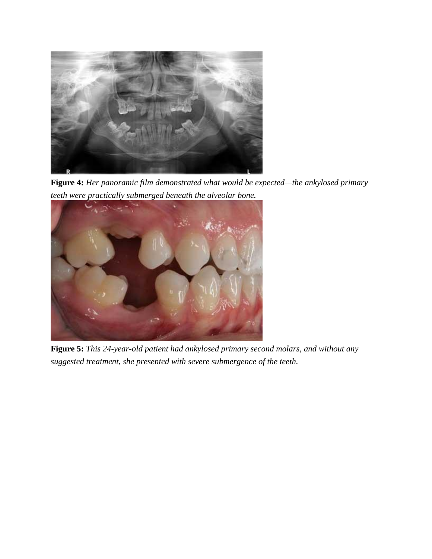

**Figure 4:** *Her panoramic film demonstrated what would be expected—the ankylosed primary teeth were practically submerged beneath the alveolar bone.*



**Figure 5:** *This 24-year-old patient had ankylosed primary second molars, and without any suggested treatment, she presented with severe submergence of the teeth.*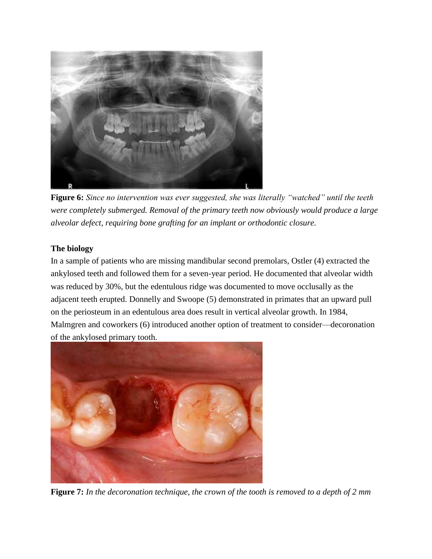

**Figure 6:** *Since no intervention was ever suggested, she was literally "watched" until the teeth were completely submerged. Removal of the primary teeth now obviously would produce a large alveolar defect, requiring bone grafting for an implant or orthodontic closure.*

# **The biology**

In a sample of patients who are missing mandibular second premolars, Ostler (4) extracted the ankylosed teeth and followed them for a seven-year period. He documented that alveolar width was reduced by 30%, but the edentulous ridge was documented to move occlusally as the adjacent teeth erupted. Donnelly and Swoope (5) demonstrated in primates that an upward pull on the periosteum in an edentulous area does result in vertical alveolar growth. In 1984, Malmgren and coworkers (6) introduced another option of treatment to consider—decoronation of the ankylosed primary tooth.



**Figure 7:** *In the decoronation technique, the crown of the tooth is removed to a depth of 2 mm*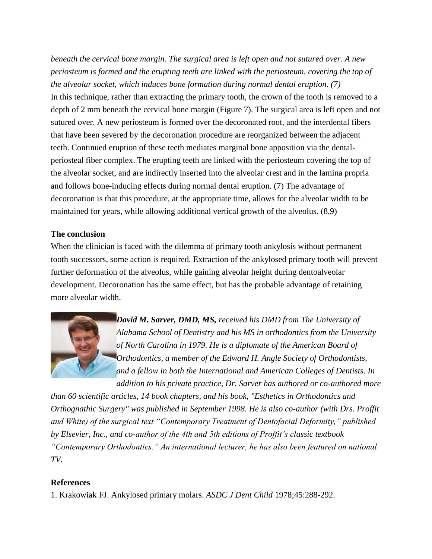*beneath the cervical bone margin. The surgical area is left open and not sutured over. A new periosteum is formed and the erupting teeth are linked with the periosteum, covering the top of the alveolar socket, which induces bone formation during normal dental eruption. (7)* In this technique, rather than extracting the primary tooth, the crown of the tooth is removed to a depth of 2 mm beneath the cervical bone margin (Figure 7). The surgical area is left open and not sutured over. A new periosteum is formed over the decoronated root, and the interdental fibers that have been severed by the decoronation procedure are reorganized between the adjacent teeth. Continued eruption of these teeth mediates marginal bone apposition via the dentalperiosteal fiber complex. The erupting teeth are linked with the periosteum covering the top of the alveolar socket, and are indirectly inserted into the alveolar crest and in the lamina propria and follows bone-inducing effects during normal dental eruption. (7) The advantage of decoronation is that this procedure, at the appropriate time, allows for the alveolar width to be maintained for years, while allowing additional vertical growth of the alveolus. (8,9)

# **The conclusion**

When the clinician is faced with the dilemma of primary tooth ankylosis without permanent tooth successors, some action is required. Extraction of the ankylosed primary tooth will prevent further deformation of the alveolus, while gaining alveolar height during dentoalveolar development. Decoronation has the same effect, but has the probable advantage of retaining more alveolar width.



*David M. Sarver, DMD, MS, received his DMD from The University of Alabama School of Dentistry and his MS in orthodontics from the University of North Carolina in 1979. He is a diplomate of the American Board of Orthodontics, a member of the Edward H. Angle Society of Orthodontists, and a fellow in both the International and American Colleges of Dentists. In addition to his private practice, Dr. Sarver has authored or co-authored more* 

*than 60 scientific articles, 14 book chapters, and his book, "Esthetics in Orthodontics and Orthognathic Surgery" was published in September 1998. He is also co-author (with Drs. Proffit and White) of the surgical text "Contemporary Treatment of Dentofacial Deformity," published by Elsevier, Inc., and co-author of the 4th and 5th editions of Proffit's classic textbook "Contemporary Orthodontics." An international lecturer, he has also been featured on national TV.*

### **References**

1. Krakowiak FJ. Ankylosed primary molars. *ASDC J Dent Child* 1978;45:288-292.